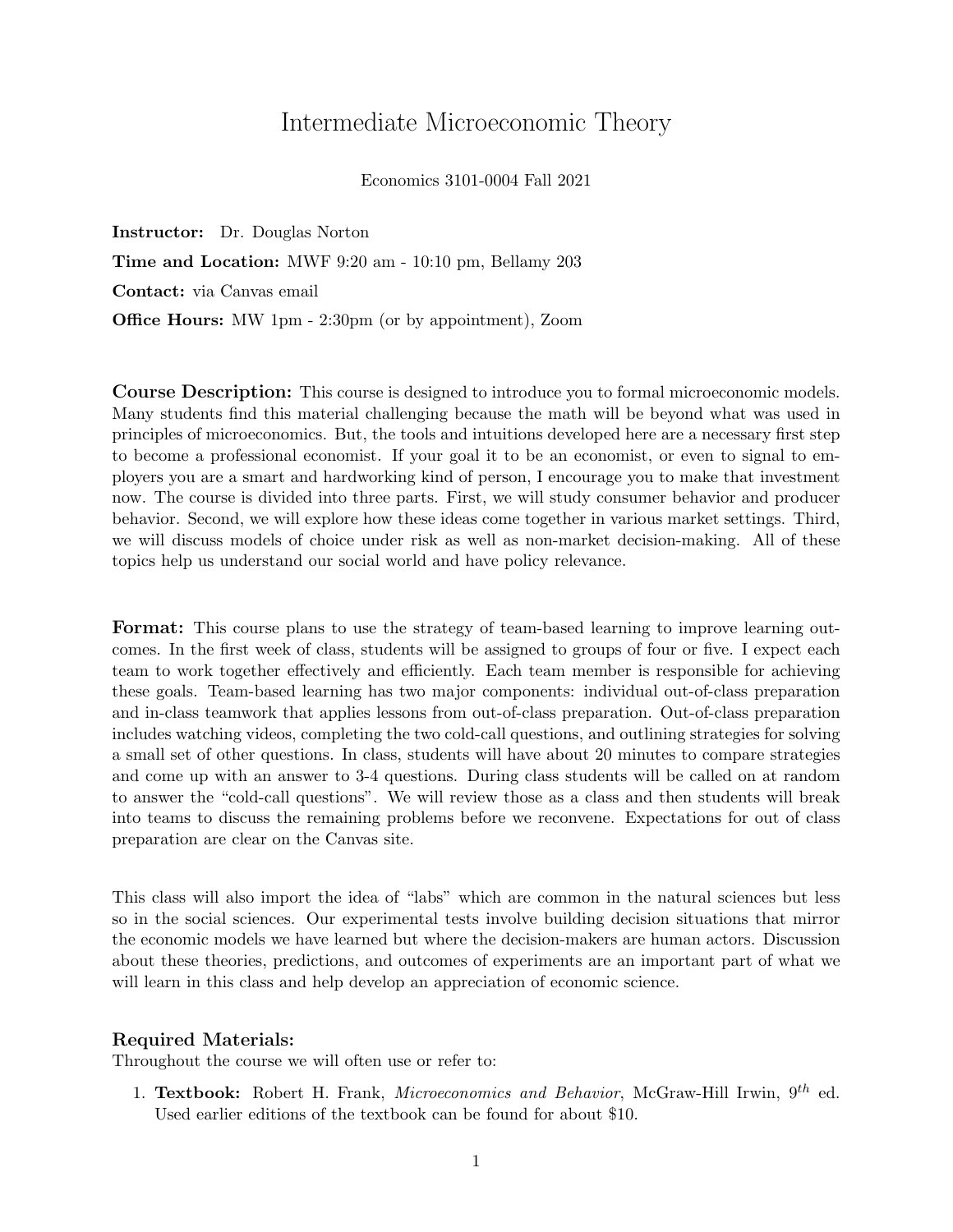# Intermediate Microeconomic Theory

#### Economics 3101-0004 Fall 2021

Instructor: Dr. Douglas Norton Time and Location: MWF 9:20 am - 10:10 pm, Bellamy 203 Contact: via Canvas email Office Hours: MW 1pm - 2:30pm (or by appointment), Zoom

Course Description: This course is designed to introduce you to formal microeconomic models. Many students find this material challenging because the math will be beyond what was used in principles of microeconomics. But, the tools and intuitions developed here are a necessary first step to become a professional economist. If your goal it to be an economist, or even to signal to employers you are a smart and hardworking kind of person, I encourage you to make that investment now. The course is divided into three parts. First, we will study consumer behavior and producer behavior. Second, we will explore how these ideas come together in various market settings. Third, we will discuss models of choice under risk as well as non-market decision-making. All of these topics help us understand our social world and have policy relevance.

Format: This course plans to use the strategy of team-based learning to improve learning outcomes. In the first week of class, students will be assigned to groups of four or five. I expect each team to work together effectively and efficiently. Each team member is responsible for achieving these goals. Team-based learning has two major components: individual out-of-class preparation and in-class teamwork that applies lessons from out-of-class preparation. Out-of-class preparation includes watching videos, completing the two cold-call questions, and outlining strategies for solving a small set of other questions. In class, students will have about 20 minutes to compare strategies and come up with an answer to 3-4 questions. During class students will be called on at random to answer the "cold-call questions". We will review those as a class and then students will break into teams to discuss the remaining problems before we reconvene. Expectations for out of class preparation are clear on the Canvas site.

This class will also import the idea of "labs" which are common in the natural sciences but less so in the social sciences. Our experimental tests involve building decision situations that mirror the economic models we have learned but where the decision-makers are human actors. Discussion about these theories, predictions, and outcomes of experiments are an important part of what we will learn in this class and help develop an appreciation of economic science.

#### Required Materials:

Throughout the course we will often use or refer to:

1. Textbook: Robert H. Frank, *Microeconomics and Behavior*, McGraw-Hill Irwin,  $9<sup>th</sup>$  ed. Used earlier editions of the textbook can be found for about \$10.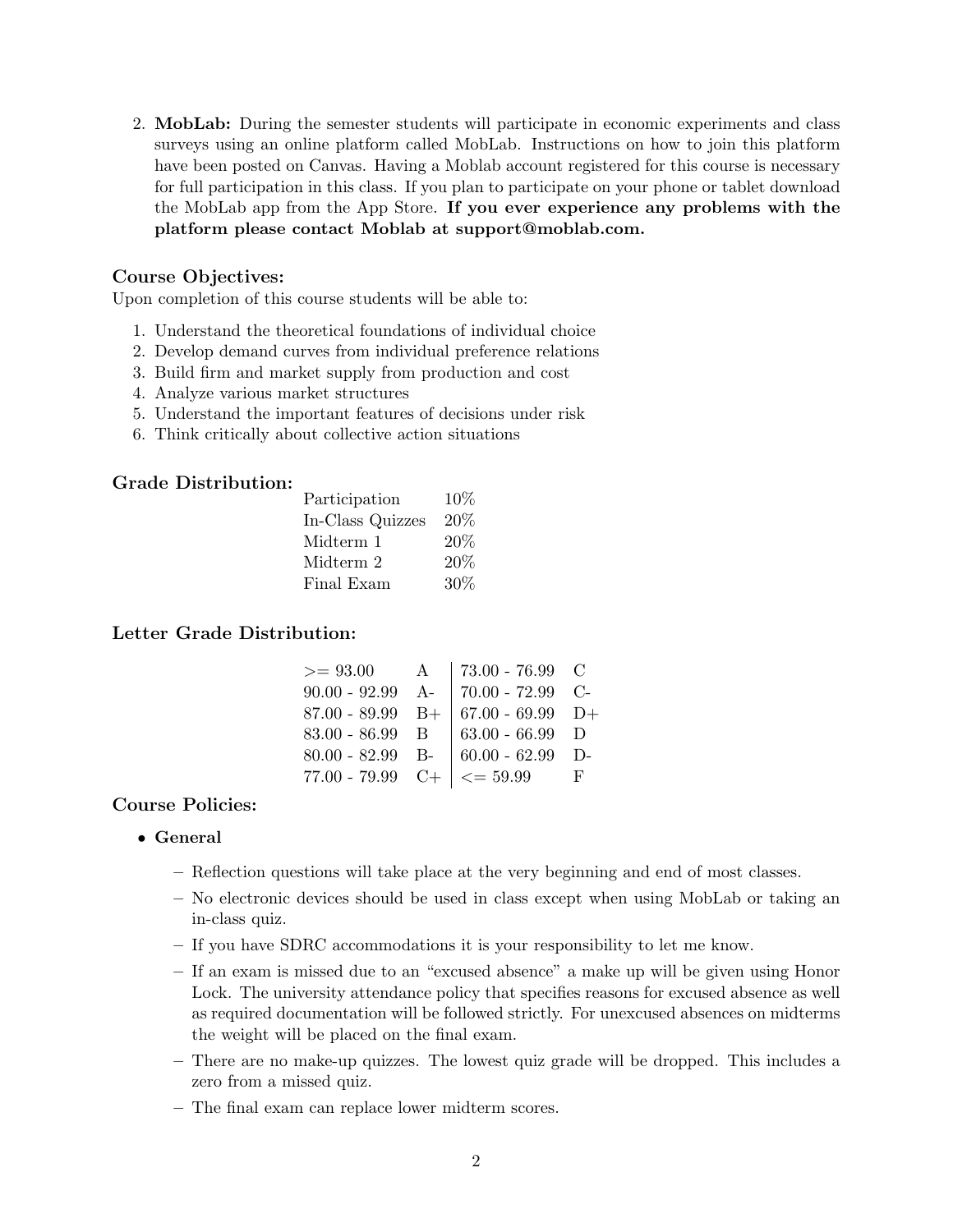2. MobLab: During the semester students will participate in economic experiments and class surveys using an online platform called MobLab. Instructions on how to join this platform have been posted on Canvas. Having a Moblab account registered for this course is necessary for full participation in this class. If you plan to participate on your phone or tablet download the MobLab app from the App Store. If you ever experience any problems with the platform please contact Moblab at support@moblab.com.

## Course Objectives:

Upon completion of this course students will be able to:

- 1. Understand the theoretical foundations of individual choice
- 2. Develop demand curves from individual preference relations
- 3. Build firm and market supply from production and cost
- 4. Analyze various market structures
- 5. Understand the important features of decisions under risk
- 6. Think critically about collective action situations

#### Grade Distribution:

| Participation    | 10\%   |
|------------------|--------|
| In-Class Quizzes | $20\%$ |
| Midterm 1        | 20%    |
| Midterm 2        | 20%    |
| Final Exam       | 30%    |

#### Letter Grade Distribution:

| $>= 93.00$         | A | 73.00 - 76.99 $\,$ C            |   |
|--------------------|---|---------------------------------|---|
| $90.00 - 92.99$ A- |   | $70.00 - 72.99$ C-              |   |
| $87.00 - 89.99$ B+ |   | $  67.00 - 69.99 \text{ D+}$    |   |
| $83.00 - 86.99$ B  |   | $63.00 - 66.99$ D               |   |
| $80.00 - 82.99$ B- |   | $  60.00 - 62.99   D -$         |   |
| $77.00 - 79.99$ C+ |   | $\vert \langle = 59.99 \rangle$ | F |

## Course Policies:

- General
	- Reflection questions will take place at the very beginning and end of most classes.
	- No electronic devices should be used in class except when using MobLab or taking an in-class quiz.
	- If you have SDRC accommodations it is your responsibility to let me know.
	- If an exam is missed due to an "excused absence" a make up will be given using Honor Lock. The university attendance policy that specifies reasons for excused absence as well as required documentation will be followed strictly. For unexcused absences on midterms the weight will be placed on the final exam.
	- There are no make-up quizzes. The lowest quiz grade will be dropped. This includes a zero from a missed quiz.
	- The final exam can replace lower midterm scores.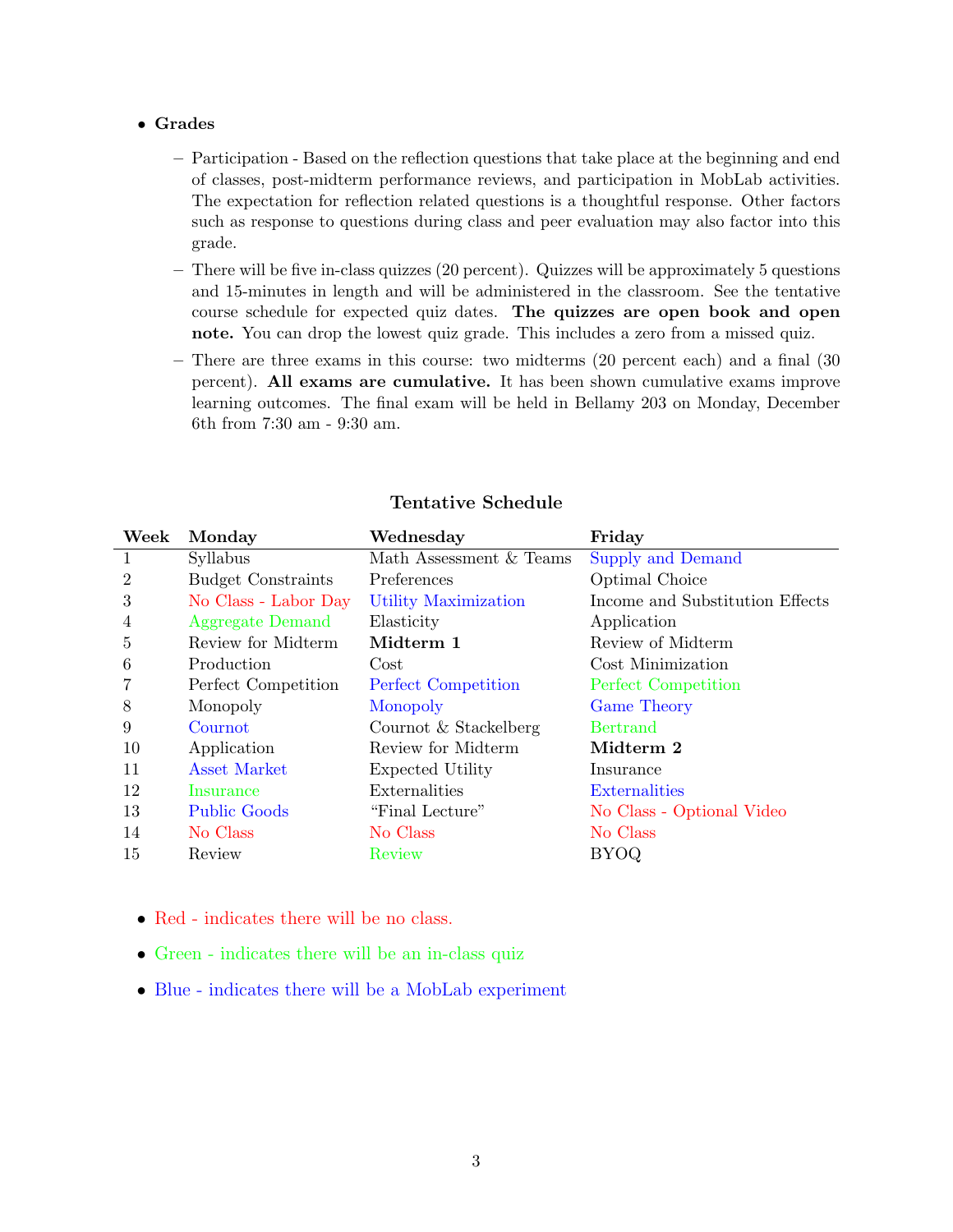#### • Grades

- Participation Based on the reflection questions that take place at the beginning and end of classes, post-midterm performance reviews, and participation in MobLab activities. The expectation for reflection related questions is a thoughtful response. Other factors such as response to questions during class and peer evaluation may also factor into this grade.
- There will be five in-class quizzes (20 percent). Quizzes will be approximately 5 questions and 15-minutes in length and will be administered in the classroom. See the tentative course schedule for expected quiz dates. The quizzes are open book and open note. You can drop the lowest quiz grade. This includes a zero from a missed quiz.
- There are three exams in this course: two midterms (20 percent each) and a final (30 percent). All exams are cumulative. It has been shown cumulative exams improve learning outcomes. The final exam will be held in Bellamy 203 on Monday, December 6th from 7:30 am - 9:30 am.

| Week | Monday                    | Wednesday               | Friday                          |
|------|---------------------------|-------------------------|---------------------------------|
|      | Syllabus                  | Math Assessment & Teams | Supply and Demand               |
| 2    | <b>Budget Constraints</b> | Preferences             | Optimal Choice                  |
| 3    | No Class - Labor Day      | Utility Maximization    | Income and Substitution Effects |
| 4    | Aggregate Demand          | Elasticity              | Application                     |
| 5    | Review for Midterm        | Midterm 1               | Review of Midterm               |
| 6    | Production                | $\rm Cost$              | Cost Minimization               |
|      | Perfect Competition       | Perfect Competition     | Perfect Competition             |
| 8    | Monopoly                  | Monopoly                | <b>Game Theory</b>              |
| 9    | Cournot                   | Cournot & Stackelberg   | <b>Bertrand</b>                 |
| 10   | Application               | Review for Midterm      | Midterm 2                       |
| 11   | <b>Asset Market</b>       | <b>Expected Utility</b> | Insurance                       |
| 12   | Insurance                 | Externalities           | Externalities                   |
| 13   | <b>Public Goods</b>       | "Final Lecture"         | No Class - Optional Video       |
| 14   | No Class                  | No Class                | No Class                        |
| 15   | Review                    | Review                  | <b>BYOQ</b>                     |

## Tentative Schedule

- Red indicates there will be no class.
- Green indicates there will be an in-class quiz
- Blue indicates there will be a MobLab experiment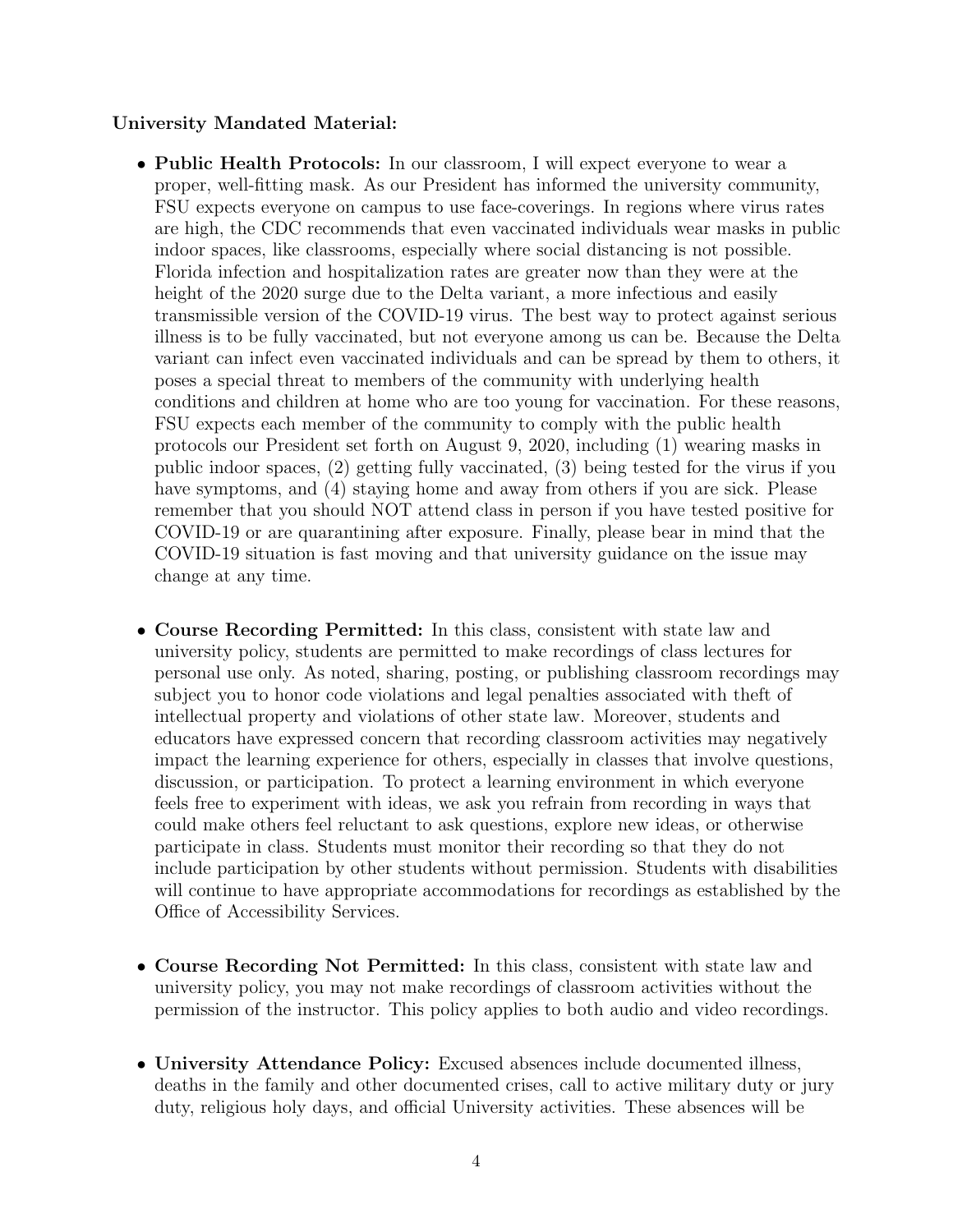# University Mandated Material:

- Public Health Protocols: In our classroom, I will expect everyone to wear a proper, well-fitting mask. As our President has informed the university community, FSU expects everyone on campus to use face-coverings. In regions where virus rates are high, the CDC recommends that even vaccinated individuals wear masks in public indoor spaces, like classrooms, especially where social distancing is not possible. Florida infection and hospitalization rates are greater now than they were at the height of the 2020 surge due to the Delta variant, a more infectious and easily transmissible version of the COVID-19 virus. The best way to protect against serious illness is to be fully vaccinated, but not everyone among us can be. Because the Delta variant can infect even vaccinated individuals and can be spread by them to others, it poses a special threat to members of the community with underlying health conditions and children at home who are too young for vaccination. For these reasons, FSU expects each member of the community to comply with the public health protocols our President set forth on August 9, 2020, including (1) wearing masks in public indoor spaces, (2) getting fully vaccinated, (3) being tested for the virus if you have symptoms, and (4) staying home and away from others if you are sick. Please remember that you should NOT attend class in person if you have tested positive for COVID-19 or are quarantining after exposure. Finally, please bear in mind that the COVID-19 situation is fast moving and that university guidance on the issue may change at any time.
- Course Recording Permitted: In this class, consistent with state law and university policy, students are permitted to make recordings of class lectures for personal use only. As noted, sharing, posting, or publishing classroom recordings may subject you to honor code violations and legal penalties associated with theft of intellectual property and violations of other state law. Moreover, students and educators have expressed concern that recording classroom activities may negatively impact the learning experience for others, especially in classes that involve questions, discussion, or participation. To protect a learning environment in which everyone feels free to experiment with ideas, we ask you refrain from recording in ways that could make others feel reluctant to ask questions, explore new ideas, or otherwise participate in class. Students must monitor their recording so that they do not include participation by other students without permission. Students with disabilities will continue to have appropriate accommodations for recordings as established by the Office of Accessibility Services.
- Course Recording Not Permitted: In this class, consistent with state law and university policy, you may not make recordings of classroom activities without the permission of the instructor. This policy applies to both audio and video recordings.
- University Attendance Policy: Excused absences include documented illness, deaths in the family and other documented crises, call to active military duty or jury duty, religious holy days, and official University activities. These absences will be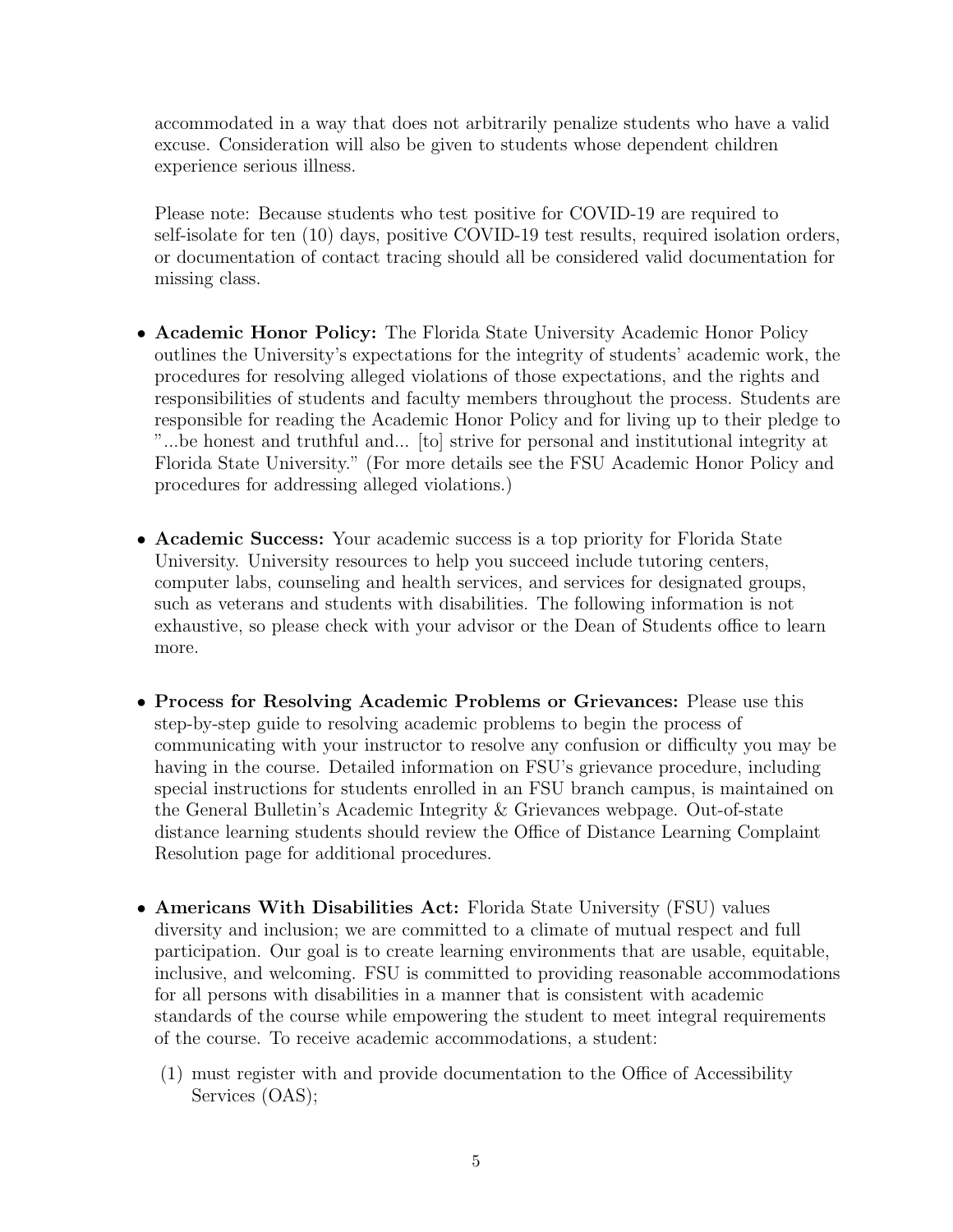accommodated in a way that does not arbitrarily penalize students who have a valid excuse. Consideration will also be given to students whose dependent children experience serious illness.

Please note: Because students who test positive for COVID-19 are required to self-isolate for ten (10) days, positive COVID-19 test results, required isolation orders, or documentation of contact tracing should all be considered valid documentation for missing class.

- Academic Honor Policy: The Florida State University Academic Honor Policy outlines the University's expectations for the integrity of students' academic work, the procedures for resolving alleged violations of those expectations, and the rights and responsibilities of students and faculty members throughout the process. Students are responsible for reading the Academic Honor Policy and for living up to their pledge to "...be honest and truthful and... [to] strive for personal and institutional integrity at Florida State University." (For more details see the FSU Academic Honor Policy and procedures for addressing alleged violations.)
- Academic Success: Your academic success is a top priority for Florida State University. University resources to help you succeed include tutoring centers, computer labs, counseling and health services, and services for designated groups, such as veterans and students with disabilities. The following information is not exhaustive, so please check with your advisor or the Dean of Students office to learn more.
- Process for Resolving Academic Problems or Grievances: Please use this step-by-step guide to resolving academic problems to begin the process of communicating with your instructor to resolve any confusion or difficulty you may be having in the course. Detailed information on FSU's grievance procedure, including special instructions for students enrolled in an FSU branch campus, is maintained on the General Bulletin's Academic Integrity & Grievances webpage. Out-of-state distance learning students should review the Office of Distance Learning Complaint Resolution page for additional procedures.
- Americans With Disabilities Act: Florida State University (FSU) values diversity and inclusion; we are committed to a climate of mutual respect and full participation. Our goal is to create learning environments that are usable, equitable, inclusive, and welcoming. FSU is committed to providing reasonable accommodations for all persons with disabilities in a manner that is consistent with academic standards of the course while empowering the student to meet integral requirements of the course. To receive academic accommodations, a student:
	- (1) must register with and provide documentation to the Office of Accessibility Services (OAS);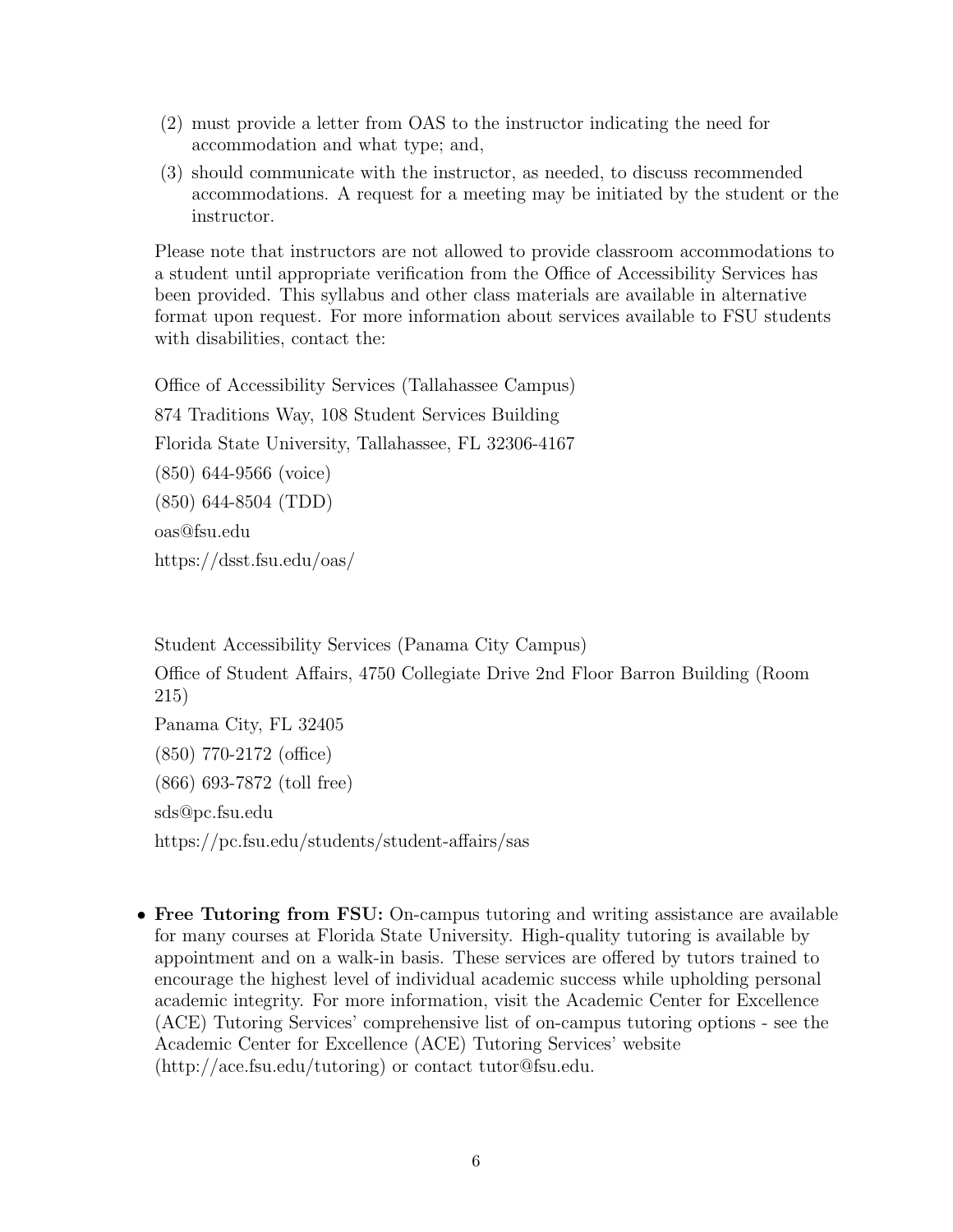- (2) must provide a letter from OAS to the instructor indicating the need for accommodation and what type; and,
- (3) should communicate with the instructor, as needed, to discuss recommended accommodations. A request for a meeting may be initiated by the student or the instructor.

Please note that instructors are not allowed to provide classroom accommodations to a student until appropriate verification from the Office of Accessibility Services has been provided. This syllabus and other class materials are available in alternative format upon request. For more information about services available to FSU students with disabilities, contact the:

Office of Accessibility Services (Tallahassee Campus) 874 Traditions Way, 108 Student Services Building Florida State University, Tallahassee, FL 32306-4167 (850) 644-9566 (voice) (850) 644-8504 (TDD) oas@fsu.edu https://dsst.fsu.edu/oas/

Student Accessibility Services (Panama City Campus) Office of Student Affairs, 4750 Collegiate Drive 2nd Floor Barron Building (Room 215) Panama City, FL 32405 (850) 770-2172 (office) (866) 693-7872 (toll free) sds@pc.fsu.edu https://pc.fsu.edu/students/student-affairs/sas

• Free Tutoring from FSU: On-campus tutoring and writing assistance are available for many courses at Florida State University. High-quality tutoring is available by appointment and on a walk-in basis. These services are offered by tutors trained to encourage the highest level of individual academic success while upholding personal academic integrity. For more information, visit the Academic Center for Excellence (ACE) Tutoring Services' comprehensive list of on-campus tutoring options - see the Academic Center for Excellence (ACE) Tutoring Services' website (http://ace.fsu.edu/tutoring) or contact tutor@fsu.edu.